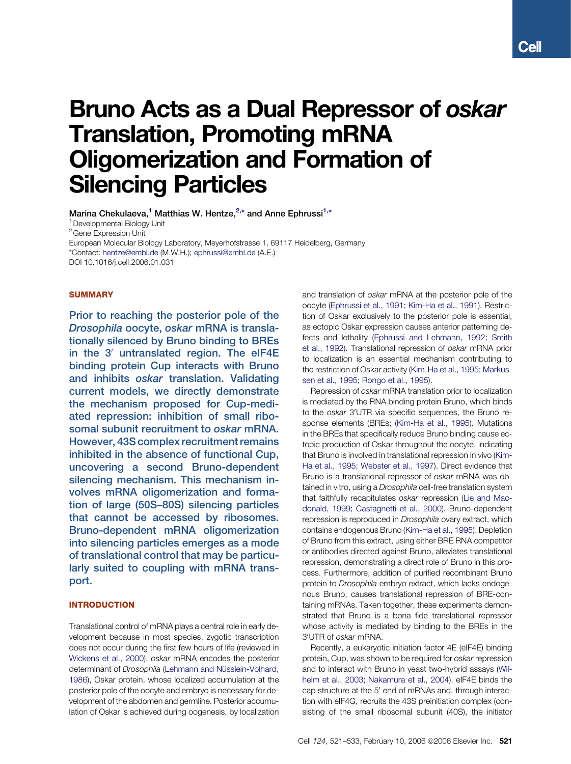# Bruno Acts as a Dual Repressor of oskar Translation, Promoting mRNA Oligomerization and Formation of Silencing Particles

Marina Chekulaeva,<sup>1</sup> Matthias W. Hentze,<sup>2,\*</sup> and Anne Ephrussi<sup>1,\*</sup> <sup>1</sup> Developmental Biology Unit

<sup>2</sup> Gene Expression Unit

European Molecular Biology Laboratory, Meyerhofstrasse 1, 69117 Heidelberg, Germany \*Contact: [hentze@embl.de](mailto:hentze@embl.de) (M.W.H.); [ephrussi@embl.de](mailto:ephrussi@embl.de) (A.E.) DOI 10.1016/j.cell.2006.01.031

## **SUMMARY**

Prior to reaching the posterior pole of the Drosophila oocyte, oskar mRNA is translationally silenced by Bruno binding to BREs in the  $3'$  untranslated region. The eIF4E binding protein Cup interacts with Bruno and inhibits oskar translation. Validating current models, we directly demonstrate the mechanism proposed for Cup-mediated repression: inhibition of small ribosomal subunit recruitment to oskar mRNA. However, 43S complex recruitment remains inhibited in the absence of functional Cup, uncovering a second Bruno-dependent silencing mechanism. This mechanism involves mRNA oligomerization and formation of large (50S–80S) silencing particles that cannot be accessed by ribosomes. Bruno-dependent mRNA oligomerization into silencing particles emerges as a mode of translational control that may be particularly suited to coupling with mRNA transport.

# INTRODUCTION

Translational control of mRNA plays a central role in early development because in most species, zygotic transcription does not occur during the first few hours of life (reviewed in [Wickens et al., 2000](#page-12-0)). oskar mRNA encodes the posterior determinant of Drosophila (Lehmann and Nüsslein-Volhard, [1986](#page-11-0)), Oskar protein, whose localized accumulation at the posterior pole of the oocyte and embryo is necessary for development of the abdomen and germline. Posterior accumulation of Oskar is achieved during oogenesis, by localization and translation of oskar mRNA at the posterior pole of the oocyte ([Ephrussi et al., 1991; Kim-Ha et al., 1991\)](#page-11-0). Restriction of Oskar exclusively to the posterior pole is essential, as ectopic Oskar expression causes anterior patterning defects and lethality [\(Ephrussi and Lehmann, 1992; Smith](#page-11-0) [et al., 1992](#page-11-0)). Translational repression of oskar mRNA prior to localization is an essential mechanism contributing to the restriction of Oskar activity [\(Kim-Ha et al., 1995; Markus](#page-11-0)[sen et al., 1995; Rongo et al., 1995\)](#page-11-0).

Repression of oskar mRNA translation prior to localization is mediated by the RNA binding protein Bruno, which binds to the oskar 3'UTR via specific sequences, the Bruno response elements (BREs; ([Kim-Ha et al., 1995](#page-11-0)). Mutations in the BREs that specifically reduce Bruno binding cause ectopic production of Oskar throughout the oocyte, indicating that Bruno is involved in translational repression in vivo ([Kim-](#page-11-0)[Ha et al., 1995; Webster et al., 1997\)](#page-11-0). Direct evidence that Bruno is a translational repressor of oskar mRNA was obtained in vitro, using a Drosophila cell-free translation system that faithfully recapitulates oskar repression [\(Lie and Mac](#page-11-0)[donald, 1999; Castagnetti et al., 2000\)](#page-11-0). Bruno-dependent repression is reproduced in Drosophila ovary extract, which contains endogenous Bruno [\(Kim-Ha et al., 1995](#page-11-0)). Depletion of Bruno from this extract, using either BRE RNA competitor or antibodies directed against Bruno, alleviates translational repression, demonstrating a direct role of Bruno in this process. Furthermore, addition of purified recombinant Bruno protein to Drosophila embryo extract, which lacks endogenous Bruno, causes translational repression of BRE-containing mRNAs. Taken together, these experiments demonstrated that Bruno is a bona fide translational repressor whose activity is mediated by binding to the BREs in the 3'UTR of oskar mRNA.

Recently, a eukaryotic initiation factor 4E (eIF4E) binding protein, Cup, was shown to be required for oskar repression and to interact with Bruno in yeast two-hybrid assays [\(Wil](#page-12-0)[helm et al., 2003; Nakamura et al., 2004](#page-12-0)). eIF4E binds the cap structure at the 5' end of mRNAs and, through interaction with eIF4G, recruits the 43S preinitiation complex (consisting of the small ribosomal subunit (40S), the initiator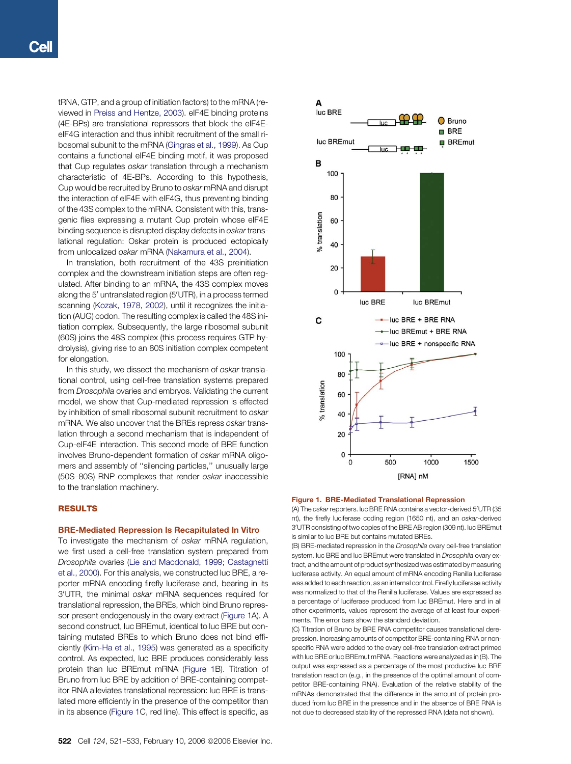<span id="page-1-0"></span>tRNA, GTP, and a group of initiation factors) to the mRNA (reviewed in [Preiss and Hentze, 2003\)](#page-11-0). eIF4E binding proteins (4E-BPs) are translational repressors that block the eIF4EeIF4G interaction and thus inhibit recruitment of the small ribosomal subunit to the mRNA ([Gingras et al., 1999](#page-11-0)). As Cup contains a functional eIF4E binding motif, it was proposed that Cup regulates oskar translation through a mechanism characteristic of 4E-BPs. According to this hypothesis, Cup would be recruited by Bruno to oskar mRNA and disrupt the interaction of eIF4E with eIF4G, thus preventing binding of the 43S complex to the mRNA. Consistent with this, transgenic flies expressing a mutant Cup protein whose eIF4E binding sequence is disrupted display defects in oskar translational regulation: Oskar protein is produced ectopically from unlocalized oskar mRNA [\(Nakamura et al., 2004](#page-11-0)).

In translation, both recruitment of the 43S preinitiation complex and the downstream initiation steps are often regulated. After binding to an mRNA, the 43S complex moves along the 5' untranslated region (5'UTR), in a process termed scanning [\(Kozak, 1978, 2002\)](#page-11-0), until it recognizes the initiation (AUG) codon. The resulting complex is called the 48S initiation complex. Subsequently, the large ribosomal subunit (60S) joins the 48S complex (this process requires GTP hydrolysis), giving rise to an 80S initiation complex competent for elongation.

In this study, we dissect the mechanism of oskar translational control, using cell-free translation systems prepared from Drosophila ovaries and embryos. Validating the current model, we show that Cup-mediated repression is effected by inhibition of small ribosomal subunit recruitment to oskar mRNA. We also uncover that the BREs repress oskar translation through a second mechanism that is independent of Cup-eIF4E interaction. This second mode of BRE function involves Bruno-dependent formation of oskar mRNA oligomers and assembly of ''silencing particles,'' unusually large (50S–80S) RNP complexes that render oskar inaccessible to the translation machinery.

# RESULTS

## BRE-Mediated Repression Is Recapitulated In Vitro

To investigate the mechanism of oskar mRNA regulation, we first used a cell-free translation system prepared from Drosophila ovaries [\(Lie and Macdonald, 1999; Castagnetti](#page-11-0) [et al., 2000\)](#page-11-0). For this analysis, we constructed luc BRE, a reporter mRNA encoding firefly luciferase and, bearing in its 3'UTR, the minimal oskar mRNA sequences required for translational repression, the BREs, which bind Bruno repressor present endogenously in the ovary extract (Figure 1A). A second construct, luc BREmut, identical to luc BRE but containing mutated BREs to which Bruno does not bind efficiently [\(Kim-Ha et al., 1995\)](#page-11-0) was generated as a specificity control. As expected, luc BRE produces considerably less protein than luc BREmut mRNA (Figure 1B). Titration of Bruno from luc BRE by addition of BRE-containing competitor RNA alleviates translational repression: luc BRE is translated more efficiently in the presence of the competitor than in its absence (Figure 1C, red line). This effect is specific, as



## Figure 1. BRE-Mediated Translational Repression

(A) The oskar reporters. luc BRE RNA contains a vector-derived 5'UTR (35 nt), the firefly luciferase coding region (1650 nt), and an oskar-derived 3'UTR consisting of two copies of the BRE AB region (309 nt). luc BREmut is similar to luc BRE but contains mutated BREs.

(B) BRE-mediated repression in the Drosophila ovary cell-free translation system. luc BRE and luc BREmut were translated in Drosophila ovary extract, and the amount of product synthesized was estimated by measuring luciferase activity. An equal amount of mRNA encoding Renilla luciferase was added to each reaction, as an internal control. Firefly luciferase activity was normalized to that of the Renilla luciferase. Values are expressed as a percentage of luciferase produced from luc BREmut. Here and in all other experiments, values represent the average of at least four experiments. The error bars show the standard deviation.

(C) Titration of Bruno by BRE RNA competitor causes translational derepression. Increasing amounts of competitor BRE-containing RNA or nonspecific RNA were added to the ovary cell-free translation extract primed with luc BRE or luc BREmut mRNA. Reactions were analyzed as in (B). The output was expressed as a percentage of the most productive luc BRE translation reaction (e.g., in the presence of the optimal amount of competitor BRE-containing RNA). Evaluation of the relative stability of the mRNAs demonstrated that the difference in the amount of protein produced from luc BRE in the presence and in the absence of BRE RNA is not due to decreased stability of the repressed RNA (data not shown).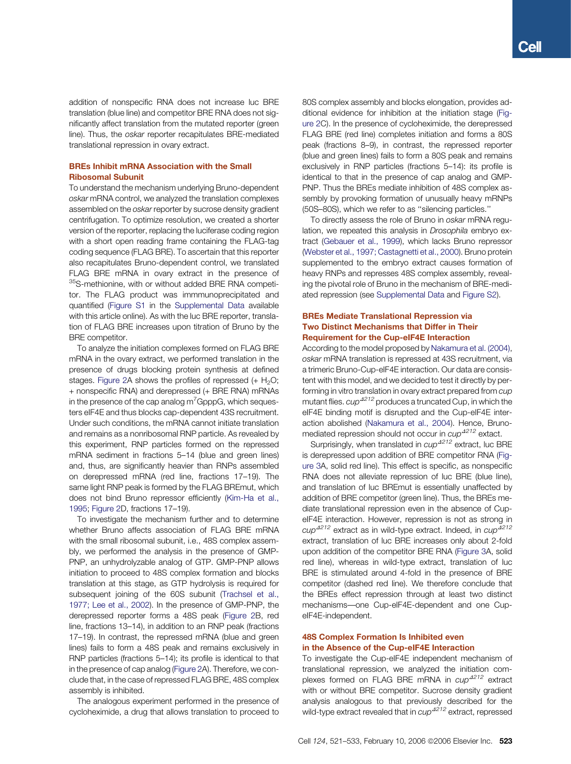addition of nonspecific RNA does not increase luc BRE translation (blue line) and competitor BRE RNA does not significantly affect translation from the mutated reporter (green line). Thus, the oskar reporter recapitulates BRE-mediated translational repression in ovary extract.

# BREs Inhibit mRNA Association with the Small Ribosomal Subunit

To understand the mechanism underlying Bruno-dependent oskar mRNA control, we analyzed the translation complexes assembled on the oskar reporter by sucrose density gradient centrifugation. To optimize resolution, we created a shorter version of the reporter, replacing the luciferase coding region with a short open reading frame containing the FLAG-tag coding sequence (FLAG BRE). To ascertain that this reporter also recapitulates Bruno-dependent control, we translated FLAG BRE mRNA in ovary extract in the presence of 35S-methionine, with or without added BRE RNA competitor. The FLAG product was immmunoprecipitated and quantified [\(Figure S1](#page-11-0) in the [Supplemental Data](#page-11-0) available with this article online). As with the luc BRE reporter, translation of FLAG BRE increases upon titration of Bruno by the BRE competitor.

To analyze the initiation complexes formed on FLAG BRE mRNA in the ovary extract, we performed translation in the presence of drugs blocking protein synthesis at defined stages. [Figure 2](#page-3-0)A shows the profiles of repressed  $(+ H<sub>2</sub>O;$ + nonspecific RNA) and derepressed (+ BRE RNA) mRNAs in the presence of the cap analog m<sup>7</sup>GpppG, which sequesters eIF4E and thus blocks cap-dependent 43S recruitment. Under such conditions, the mRNA cannot initiate translation and remains as a nonribosomal RNP particle. As revealed by this experiment, RNP particles formed on the repressed mRNA sediment in fractions 5–14 (blue and green lines) and, thus, are significantly heavier than RNPs assembled on derepressed mRNA (red line, fractions 17–19). The same light RNP peak is formed by the FLAG BREmut, which does not bind Bruno repressor efficiently [\(Kim-Ha et al.,](#page-11-0) [1995](#page-11-0); [Figure 2D](#page-3-0), fractions 17–19).

To investigate the mechanism further and to determine whether Bruno affects association of FLAG BRE mRNA with the small ribosomal subunit, i.e., 48S complex assembly, we performed the analysis in the presence of GMP-PNP, an unhydrolyzable analog of GTP. GMP-PNP allows initiation to proceed to 48S complex formation and blocks translation at this stage, as GTP hydrolysis is required for subsequent joining of the 60S subunit ([Trachsel et al.,](#page-12-0) [1977; Lee et al., 2002](#page-12-0)). In the presence of GMP-PNP, the derepressed reporter forms a 48S peak [\(Figure 2B](#page-3-0), red line, fractions 13–14), in addition to an RNP peak (fractions 17–19). In contrast, the repressed mRNA (blue and green lines) fails to form a 48S peak and remains exclusively in RNP particles (fractions 5–14); its profile is identical to that in the presence of cap analog [\(Figure 2](#page-3-0)A). Therefore, we conclude that, in the case of repressed FLAG BRE, 48S complex assembly is inhibited.

The analogous experiment performed in the presence of cycloheximide, a drug that allows translation to proceed to 80S complex assembly and blocks elongation, provides additional evidence for inhibition at the initiation stage [\(Fig](#page-3-0)[ure 2C](#page-3-0)). In the presence of cycloheximide, the derepressed FLAG BRE (red line) completes initiation and forms a 80S peak (fractions 8–9), in contrast, the repressed reporter (blue and green lines) fails to form a 80S peak and remains exclusively in RNP particles (fractions 5–14): its profile is identical to that in the presence of cap analog and GMP-PNP. Thus the BREs mediate inhibition of 48S complex assembly by provoking formation of unusually heavy mRNPs (50S–80S), which we refer to as ''silencing particles.''

To directly assess the role of Bruno in oskar mRNA regulation, we repeated this analysis in Drosophila embryo extract ([Gebauer et al., 1999](#page-11-0)), which lacks Bruno repressor ([Webster et al., 1997; Castagnetti et al., 2000](#page-12-0)). Bruno protein supplemented to the embryo extract causes formation of heavy RNPs and represses 48S complex assembly, revealing the pivotal role of Bruno in the mechanism of BRE-mediated repression (see [Supplemental Data](#page-11-0) and [Figure S2\)](#page-11-0).

# BREs Mediate Translational Repression via Two Distinct Mechanisms that Differ in Their Requirement for the Cup-eIF4E Interaction

According to the model proposed by [Nakamura et al. \(2004\),](#page-11-0) oskar mRNA translation is repressed at 43S recruitment, via a trimeric Bruno-Cup-eIF4E interaction. Our data are consistent with this model, and we decided to test it directly by performing in vitro translation in ovary extract prepared from cup mutant flies.  $cup^{4212}$  produces a truncated Cup, in which the eIF4E binding motif is disrupted and the Cup-eIF4E interaction abolished [\(Nakamura et al., 2004\)](#page-11-0). Hence, Brunomediated repression should not occur in  $\alpha \rho^{4212}$  extact.

Surprisingly, when translated in  $cup^{4212}$  extract, luc BRE is derepressed upon addition of BRE competitor RNA [\(Fig](#page-4-0)[ure 3A](#page-4-0), solid red line). This effect is specific, as nonspecific RNA does not alleviate repression of luc BRE (blue line), and translation of luc BREmut is essentially unaffected by addition of BRE competitor (green line). Thus, the BREs mediate translational repression even in the absence of CupeIF4E interaction. However, repression is not as strong in  $cup^{4212}$  extract as in wild-type extract. Indeed, in  $cup^{4212}$ extract, translation of luc BRE increases only about 2-fold upon addition of the competitor BRE RNA [\(Figure 3](#page-4-0)A, solid red line), whereas in wild-type extract, translation of luc BRE is stimulated around 4-fold in the presence of BRE competitor (dashed red line). We therefore conclude that the BREs effect repression through at least two distinct mechanisms—one Cup-eIF4E-dependent and one CupeIF4E-independent.

## 48S Complex Formation Is Inhibited even in the Absence of the Cup-eIF4E Interaction

To investigate the Cup-eIF4E independent mechanism of translational repression, we analyzed the initiation complexes formed on FLAG BRE mRNA in  $cup^{4272}$  extract with or without BRE competitor. Sucrose density gradient analysis analogous to that previously described for the wild-type extract revealed that in  $cup^{1272}$  extract, repressed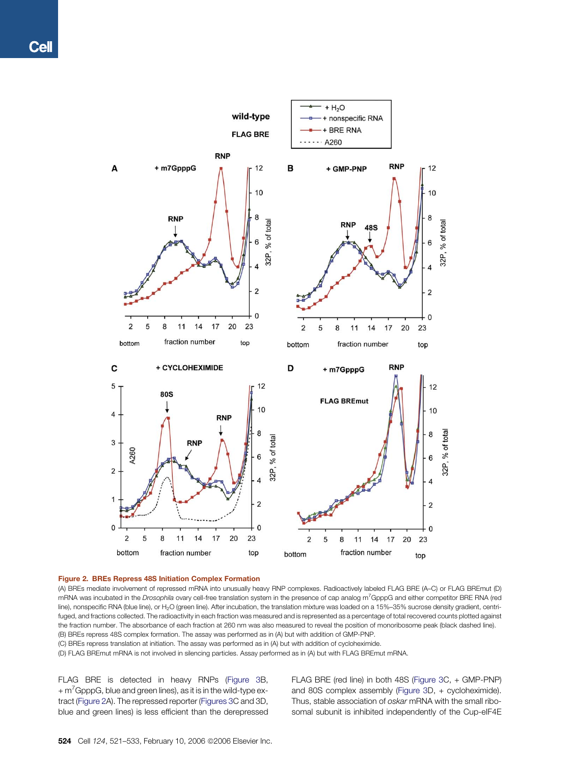<span id="page-3-0"></span>

#### Figure 2. BREs Repress 48S Initiation Complex Formation

(A) BREs mediate involvement of repressed mRNA into unusually heavy RNP complexes. Radioactively labeled FLAG BRE (A–C) or FLAG BREmut (D) mRNA was incubated in the Drosophila ovary cell-free translation system in the presence of cap analog m<sup>7</sup>GpppG and either competitor BRE RNA (red line), nonspecific RNA (blue line), or H<sub>2</sub>O (green line). After incubation, the translation mixture was loaded on a 15%-35% sucrose density gradient, centrifuged, and fractions collected. The radioactivity in each fraction was measured and is represented as a percentage of total recovered counts plotted against the fraction number. The absorbance of each fraction at 260 nm was also measured to reveal the position of monoribosome peak (black dashed line). (B) BREs repress 48S complex formation. The assay was performed as in (A) but with addition of GMP-PNP.

(C) BREs repress translation at initiation. The assay was performed as in (A) but with addition of cycloheximide.

(D) FLAG BREmut mRNA is not involved in silencing particles. Assay performed as in (A) but with FLAG BREmut mRNA.

FLAG BRE is detected in heavy RNPs ([Figure 3B](#page-4-0),  $+m<sup>7</sup>$ GpppG, blue and green lines), as it is in the wild-type extract (Figure 2A). The repressed reporter ([Figures 3C](#page-4-0) and 3D, blue and green lines) is less efficient than the derepressed FLAG BRE (red line) in both 48S [\(Figure 3](#page-4-0)C, + GMP-PNP) and 80S complex assembly ([Figure 3](#page-4-0)D, + cycloheximide). Thus, stable association of oskar mRNA with the small ribosomal subunit is inhibited independently of the Cup-eIF4E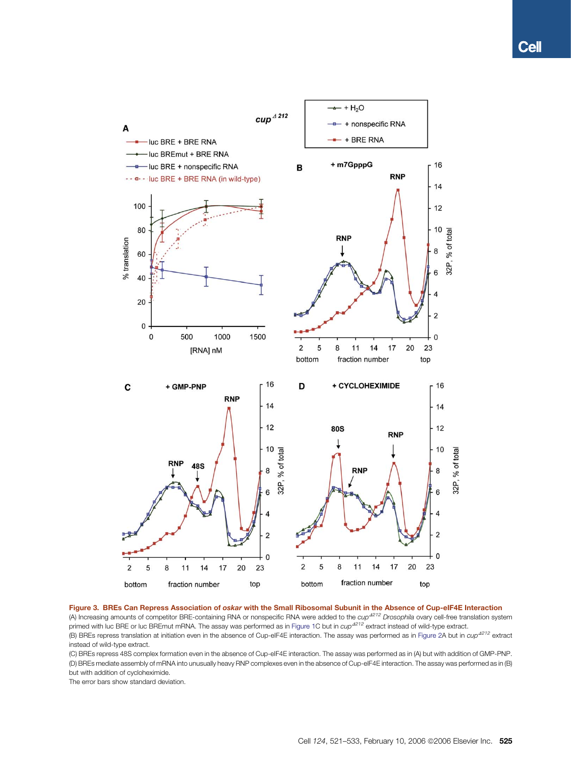<span id="page-4-0"></span>

Figure 3. BREs Can Repress Association of oskar with the Small Ribosomal Subunit in the Absence of Cup-eIF4E Interaction (A) Increasing amounts of competitor BRE-containing RNA or nonspecific RNA were added to the  $cup^{2272}$  Drosophila ovary cell-free translation system primed with luc BRE or luc BREmut mRNA. The assay was performed as in [Figure 1](#page-1-0)C but in cup<sup>4212</sup> extract instead of wild-type extract. (B) BREs repress translation at initiation even in the absence of Cup-eIF4E interaction. The assay was performed as in [Figure 2A](#page-3-0) but in  $cup^{2212}$  extract instead of wild-type extract.

(C) BREs repress 48S complex formation even in the absence of Cup-eIF4E interaction. The assay was performed as in (A) but with addition of GMP-PNP. (D) BREs mediate assembly of mRNA into unusually heavy RNP complexes even in the absence of Cup-eIF4E interaction. The assay was performed as in (B) but with addition of cycloheximide.

The error bars show standard deviation.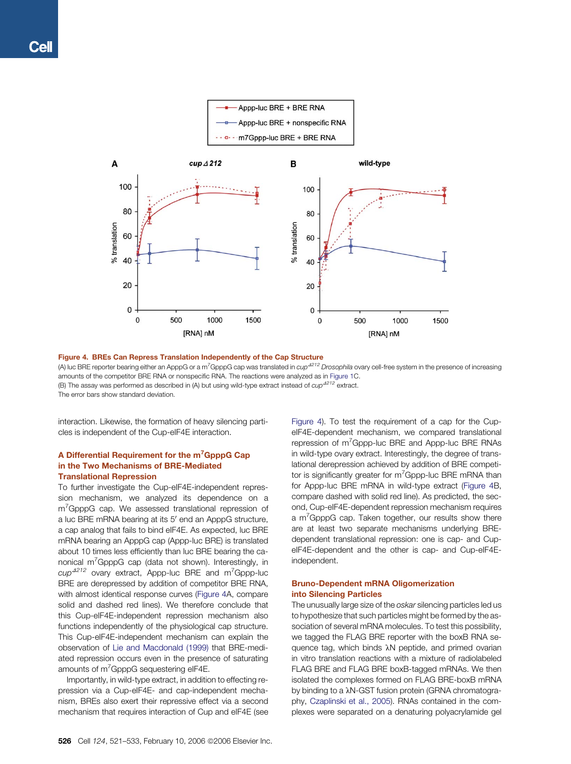<span id="page-5-0"></span>

Figure 4. BREs Can Repress Translation Independently of the Cap Structure

(A) luc BRE reporter bearing either an ApppG or a m<sup>7</sup>GpppG cap was translated in cup<sup>4212</sup> Drosophila ovary cell-free system in the presence of increasing amounts of the competitor BRE RNA or nonspecific RNA. The reactions were analyzed as in [Figure 1C](#page-1-0). (B) The assay was performed as described in (A) but using wild-type extract instead of  $cup^{4212}$  extract. The error bars show standard deviation.

interaction. Likewise, the formation of heavy silencing particles is independent of the Cup-eIF4E interaction.

# A Differential Requirement for the m<sup>7</sup>GpppG Cap in the Two Mechanisms of BRE-Mediated Translational Repression

To further investigate the Cup-eIF4E-independent repression mechanism, we analyzed its dependence on a m<sup>7</sup>GpppG cap. We assessed translational repression of a luc BRE mRNA bearing at its 5' end an ApppG structure, a cap analog that fails to bind eIF4E. As expected, luc BRE mRNA bearing an ApppG cap (Appp-luc BRE) is translated about 10 times less efficiently than luc BRE bearing the canonical m<sup>7</sup>GpppG cap (data not shown). Interestingly, in  $cup^{4212}$  ovary extract, Appp-luc BRE and m<sup>7</sup>Gppp-luc BRE are derepressed by addition of competitor BRE RNA, with almost identical response curves (Figure 4A, compare solid and dashed red lines). We therefore conclude that this Cup-eIF4E-independent repression mechanism also functions independently of the physiological cap structure. This Cup-eIF4E-independent mechanism can explain the observation of [Lie and Macdonald \(1999\)](#page-11-0) that BRE-mediated repression occurs even in the presence of saturating amounts of  $m^7$ GpppG sequestering eIF4E.

Importantly, in wild-type extract, in addition to effecting repression via a Cup-eIF4E- and cap-independent mechanism, BREs also exert their repressive effect via a second mechanism that requires interaction of Cup and eIF4E (see Figure 4). To test the requirement of a cap for the CupeIF4E-dependent mechanism, we compared translational repression of m<sup>7</sup>Gppp-luc BRE and Appp-luc BRE RNAs in wild-type ovary extract. Interestingly, the degree of translational derepression achieved by addition of BRE competitor is significantly greater for m<sup>7</sup>Gppp-luc BRE mRNA than for Appp-luc BRE mRNA in wild-type extract (Figure 4B, compare dashed with solid red line). As predicted, the second, Cup-eIF4E-dependent repression mechanism requires a m<sup>7</sup>GpppG cap. Taken together, our results show there are at least two separate mechanisms underlying BREdependent translational repression: one is cap- and CupeIF4E-dependent and the other is cap- and Cup-eIF4Eindependent.

# Bruno-Dependent mRNA Oligomerization into Silencing Particles

The unusually large size of the oskar silencing particles led us to hypothesize that such particles might be formed by the association of several mRNA molecules. To test this possibility, we tagged the FLAG BRE reporter with the boxB RNA sequence tag, which binds λN peptide, and primed ovarian in vitro translation reactions with a mixture of radiolabeled FLAG BRE and FLAG BRE boxB-tagged mRNAs. We then isolated the complexes formed on FLAG BRE-boxB mRNA by binding to a  $\lambda$ N-GST fusion protein (GRNA chromatography, [Czaplinski et al., 2005](#page-11-0)). RNAs contained in the complexes were separated on a denaturing polyacrylamide gel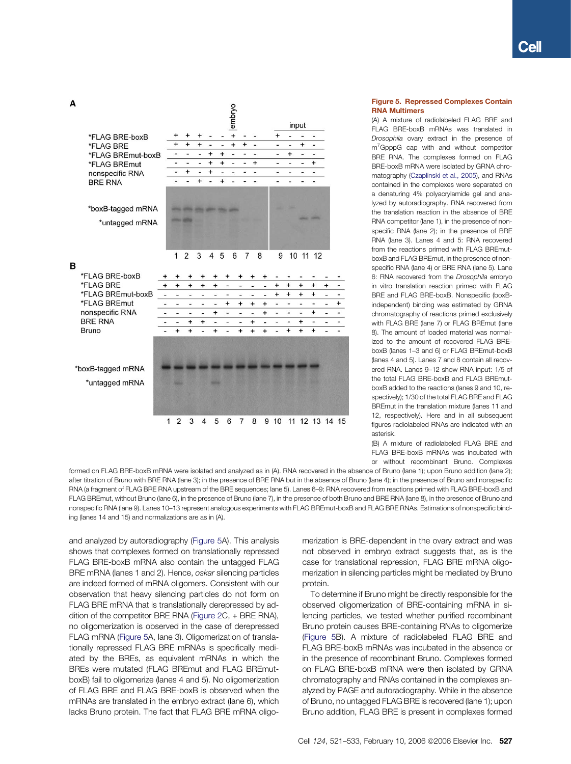## <span id="page-6-0"></span>A



#### Figure 5. Repressed Complexes Contain RNA Multimers

(A) A mixture of radiolabeled FLAG BRE and FLAG BRE-boxB mRNAs was translated in Drosophila ovary extract in the presence of m<sup>7</sup>GpppG cap with and without competitor BRE RNA. The complexes formed on FLAG BRE-boxB mRNA were isolated by GRNA chromatography ([Czaplinski et al., 2005](#page-11-0)), and RNAs contained in the complexes were separated on a denaturing 4% polyacrylamide gel and analyzed by autoradiography. RNA recovered from the translation reaction in the absence of BRE RNA competitor (lane 1), in the presence of nonspecific RNA (lane 2); in the presence of BRE RNA (lane 3). Lanes 4 and 5: RNA recovered from the reactions primed with FLAG BREmutboxB and FLAG BREmut, in the presence of nonspecific RNA (lane 4) or BRE RNA (lane 5). Lane 6: RNA recovered from the Drosophila embryo in vitro translation reaction primed with FLAG BRE and FLAG BRE-boxB. Nonspecific (boxBindependent) binding was estimated by GRNA chromatography of reactions primed exclusively with FLAG BRE (lane 7) or FLAG BREmut (lane 8). The amount of loaded material was normalized to the amount of recovered FLAG BREboxB (lanes 1–3 and 6) or FLAG BREmut-boxB (lanes 4 and 5). Lanes 7 and 8 contain all recovered RNA. Lanes 9–12 show RNA input: 1/5 of the total FLAG BRE-boxB and FLAG BREmutboxB added to the reactions (lanes 9 and 10, respectively); 1/30 of the total FLAG BRE and FLAG BREmut in the translation mixture (lanes 11 and 12, respectively). Here and in all subsequent figures radiolabeled RNAs are indicated with an asterisk.

(B) A mixture of radiolabeled FLAG BRE and FLAG BRE-boxB mRNAs was incubated with or without recombinant Bruno. Complexes

formed on FLAG BRE-boxB mRNA were isolated and analyzed as in (A). RNA recovered in the absence of Bruno (lane 1); upon Bruno addition (lane 2); after titration of Bruno with BRE RNA (lane 3); in the presence of BRE RNA but in the absence of Bruno (lane 4); in the presence of Bruno and nonspecific RNA (a fragment of FLAG BRE RNA upstream of the BRE sequences; lane 5). Lanes 6–9: RNA recovered from reactions primed with FLAG BRE-boxB and FLAG BREmut, without Bruno (lane 6), in the presence of Bruno (lane 7), in the presence of both Bruno and BRE RNA (lane 8), in the presence of Bruno and nonspecific RNA (lane 9). Lanes 10–13 represent analogous experiments with FLAG BREmut-boxB and FLAG BRE RNAs. Estimations of nonspecific binding (lanes 14 and 15) and normalizations are as in (A).

and analyzed by autoradiography (Figure 5A). This analysis shows that complexes formed on translationally repressed FLAG BRE-boxB mRNA also contain the untagged FLAG BRE mRNA (lanes 1 and 2). Hence, oskar silencing particles are indeed formed of mRNA oligomers. Consistent with our observation that heavy silencing particles do not form on FLAG BRE mRNA that is translationally derepressed by addition of the competitor BRE RNA ([Figure 2C](#page-3-0), + BRE RNA), no oligomerization is observed in the case of derepressed FLAG mRNA (Figure 5A, lane 3). Oligomerization of translationally repressed FLAG BRE mRNAs is specifically mediated by the BREs, as equivalent mRNAs in which the BREs were mutated (FLAG BREmut and FLAG BREmutboxB) fail to oligomerize (lanes 4 and 5). No oligomerization of FLAG BRE and FLAG BRE-boxB is observed when the mRNAs are translated in the embryo extract (lane 6), which lacks Bruno protein. The fact that FLAG BRE mRNA oligomerization is BRE-dependent in the ovary extract and was not observed in embryo extract suggests that, as is the case for translational repression, FLAG BRE mRNA oligomerization in silencing particles might be mediated by Bruno protein.

To determine if Bruno might be directly responsible for the observed oligomerization of BRE-containing mRNA in silencing particles, we tested whether purified recombinant Bruno protein causes BRE-containing RNAs to oligomerize (Figure 5B). A mixture of radiolabeled FLAG BRE and FLAG BRE-boxB mRNAs was incubated in the absence or in the presence of recombinant Bruno. Complexes formed on FLAG BRE-boxB mRNA were then isolated by GRNA chromatography and RNAs contained in the complexes analyzed by PAGE and autoradiography. While in the absence of Bruno, no untagged FLAG BRE is recovered (lane 1); upon Bruno addition, FLAG BRE is present in complexes formed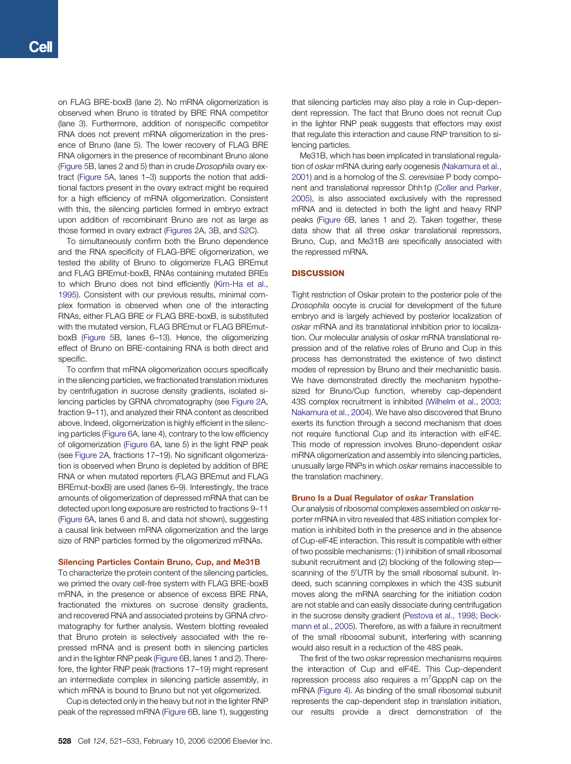on FLAG BRE-boxB (lane 2). No mRNA oligomerization is observed when Bruno is titrated by BRE RNA competitor (lane 3). Furthermore, addition of nonspecific competitor RNA does not prevent mRNA oligomerization in the presence of Bruno (lane 5). The lower recovery of FLAG BRE RNA oligomers in the presence of recombinant Bruno alone ([Figure 5B](#page-6-0), lanes 2 and 5) than in crude Drosophila ovary extract [\(Figure 5A](#page-6-0), lanes 1–3) supports the notion that additional factors present in the ovary extract might be required for a high efficiency of mRNA oligomerization. Consistent with this, the silencing particles formed in embryo extract upon addition of recombinant Bruno are not as large as those formed in ovary extract [\(Figures 2A](#page-3-0), [3B](#page-4-0), and [S2](#page-11-0)C).

To simultaneously confirm both the Bruno dependence and the RNA specificity of FLAG-BRE oligomerization, we tested the ability of Bruno to oligomerize FLAG BREmut and FLAG BREmut-boxB, RNAs containing mutated BREs to which Bruno does not bind efficiently [\(Kim-Ha et al.,](#page-11-0) [1995](#page-11-0)). Consistent with our previous results, minimal complex formation is observed when one of the interacting RNAs, either FLAG BRE or FLAG BRE-boxB, is substituted with the mutated version, FLAG BREmut or FLAG BREmutboxB ([Figure 5](#page-6-0)B, lanes 6–13). Hence, the oligomerizing effect of Bruno on BRE-containing RNA is both direct and specific.

To confirm that mRNA oligomerization occurs specifically in the silencing particles, we fractionated translation mixtures by centrifugation in sucrose density gradients, isolated silencing particles by GRNA chromatography (see [Figure 2](#page-3-0)A, fraction 9–11), and analyzed their RNA content as described above. Indeed, oligomerization is highly efficient in the silencing particles ([Figure 6A](#page-8-0), lane 4), contrary to the low efficiency of oligomerization ([Figure 6A](#page-8-0), lane 5) in the light RNP peak (see [Figure 2](#page-3-0)A, fractions 17–19). No significant oligomerization is observed when Bruno is depleted by addition of BRE RNA or when mutated reporters (FLAG BREmut and FLAG BREmut-boxB) are used (lanes 6–9). Interestingly, the trace amounts of oligomerization of depressed mRNA that can be detected upon long exposure are restricted to fractions 9–11 ([Figure 6](#page-8-0)A, lanes 6 and 8, and data not shown), suggesting a causal link between mRNA oligomerization and the large size of RNP particles formed by the oligomerized mRNAs.

#### Silencing Particles Contain Bruno, Cup, and Me31B

To characterize the protein content of the silencing particles, we primed the ovary cell-free system with FLAG BRE-boxB mRNA, in the presence or absence of excess BRE RNA, fractionated the mixtures on sucrose density gradients, and recovered RNA and associated proteins by GRNA chromatography for further analysis. Western blotting revealed that Bruno protein is selectively associated with the repressed mRNA and is present both in silencing particles and in the lighter RNP peak ([Figure 6](#page-8-0)B, lanes 1 and 2). Therefore, the lighter RNP peak (fractions 17–19) might represent an intermediate complex in silencing particle assembly, in which mRNA is bound to Bruno but not yet oligomerized.

Cup is detected only in the heavy but not in the lighter RNP peak of the repressed mRNA [\(Figure 6](#page-8-0)B, lane 1), suggesting that silencing particles may also play a role in Cup-dependent repression. The fact that Bruno does not recruit Cup in the lighter RNP peak suggests that effectors may exist that regulate this interaction and cause RNP transition to silencing particles.

Me31B, which has been implicated in translational regulation of oskar mRNA during early oogenesis ([Nakamura et al.,](#page-11-0) [2001\)](#page-11-0) and is a homolog of the S. cerevisiae P body component and translational repressor Dhh1p ([Coller and Parker,](#page-11-0) [2005\)](#page-11-0), is also associated exclusively with the repressed mRNA and is detected in both the light and heavy RNP peaks ([Figure 6B](#page-8-0), lanes 1 and 2). Taken together, these data show that all three oskar translational repressors, Bruno, Cup, and Me31B are specifically associated with the repressed mRNA.

# **DISCUSSION**

Tight restriction of Oskar protein to the posterior pole of the Drosophila oocyte is crucial for development of the future embryo and is largely achieved by posterior localization of oskar mRNA and its translational inhibition prior to localization. Our molecular analysis of oskar mRNA translational repression and of the relative roles of Bruno and Cup in this process has demonstrated the existence of two distinct modes of repression by Bruno and their mechanistic basis. We have demonstrated directly the mechanism hypothesized for Bruno/Cup function, whereby cap-dependent 43S complex recruitment is inhibited [\(Wilhelm et al., 2003;](#page-12-0) [Nakamura et al., 2004\)](#page-12-0). We have also discovered that Bruno exerts its function through a second mechanism that does not require functional Cup and its interaction with eIF4E. This mode of repression involves Bruno-dependent oskar mRNA oligomerization and assembly into silencing particles, unusually large RNPs in which oskar remains inaccessible to the translation machinery.

#### Bruno Is a Dual Regulator of oskar Translation

Our analysis of ribosomal complexes assembled on oskar reporter mRNA in vitro revealed that 48S initiation complex formation is inhibited both in the presence and in the absence of Cup-eIF4E interaction. This result is compatible with either of two possible mechanisms: (1) inhibition of small ribosomal subunit recruitment and (2) blocking of the following step scanning of the 5'UTR by the small ribosomal subunit. Indeed, such scanning complexes in which the 43S subunit moves along the mRNA searching for the initiation codon are not stable and can easily dissociate during centrifugation in the sucrose density gradient ([Pestova et al., 1998; Beck](#page-11-0)[mann et al., 2005\)](#page-11-0). Therefore, as with a failure in recruitment of the small ribosomal subunit, interfering with scanning would also result in a reduction of the 48S peak.

The first of the two oskar repression mechanisms requires the interaction of Cup and eIF4E. This Cup-dependent repression process also requires a m<sup>7</sup>GpppN cap on the mRNA [\(Figure 4\)](#page-5-0). As binding of the small ribosomal subunit represents the cap-dependent step in translation initiation, our results provide a direct demonstration of the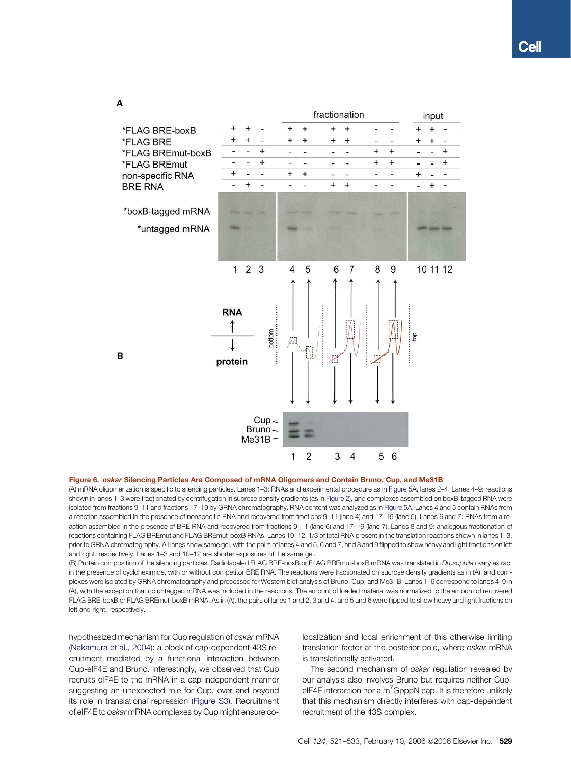<span id="page-8-0"></span>

## Figure 6. oskar Silencing Particles Are Composed of mRNA Oligomers and Contain Bruno, Cup, and Me31B

(A) mRNA oligomerization is specific to silencing particles. Lanes 1–3: RNAs and experimental procedure as in [Figure 5](#page-6-0)A, lanes 2–4. Lanes 4–9: reactions shown in lanes 1–3 were fractionated by centrifugation in sucrose density gradients (as in [Figure 2](#page-3-0)), and complexes assembled on boxB-tagged RNA were isolated from fractions 9–11 and fractions 17–19 by GRNA chromatography. RNA content was analyzed as in [Figure 5A](#page-6-0). Lanes 4 and 5 contain RNAs from a reaction assembled in the presence of nonspecific RNA and recovered from fractions 9–11 (lane 4) and 17–19 (lane 5). Lanes 6 and 7: RNAs from a reaction assembled in the presence of BRE RNA and recovered from fractions 9–11 (lane 6) and 17–19 (lane 7). Lanes 8 and 9: analogous fractionation of reactions containing FLAG BREmut and FLAG BREmut-boxB RNAs. Lanes 10–12: 1/3 of total RNA present in the translation reactions shown in lanes 1–3, prior to GRNA chromatography. All lanes show same gel, with the pairs of lanes 4 and 5, 6 and 7, and 8 and 9 flipped to show heavy and light fractions on left and right, respectively. Lanes 1–3 and 10–12 are shorter exposures of the same gel.

(B) Protein composition of the silencing particles. Radiolabeled FLAG BRE-boxB or FLAG BREmut-boxB mRNA was translated in Drosophila ovary extract in the presence of cycloheximide, with or without competitor BRE RNA. The reactions were fractionated on sucrose density gradients as in (A), and complexes were isolated by GRNA chromatography and processed for Western blot analysis of Bruno, Cup, and Me31B. Lanes 1–6 correspond to lanes 4–9 in (A), with the exception that no untagged mRNA was included in the reactions. The amount of loaded material was normalized to the amount of recovered FLAG BRE-boxB or FLAG BREmut-boxB mRNA. As in (A), the pairs of lanes 1 and 2, 3 and 4, and 5 and 6 were flipped to show heavy and light fractions on left and right, respectively.

hypothesized mechanism for Cup regulation of oskar mRNA ([Nakamura et al., 2004](#page-11-0)): a block of cap-dependent 43S recruitment mediated by a functional interaction between Cup-eIF4E and Bruno. Interestingly, we observed that Cup recruits eIF4E to the mRNA in a cap-independent manner suggesting an unexpected role for Cup, over and beyond its role in translational repression [\(Figure S3\)](#page-11-0). Recruitment of eIF4E to oskar mRNA complexes by Cup might ensure colocalization and local enrichment of this otherwise limiting translation factor at the posterior pole, where oskar mRNA is translationally activated.

The second mechanism of oskar regulation revealed by our analysis also involves Bruno but requires neither CupelF4E interaction nor a m<sup>7</sup>GpppN cap. It is therefore unlikely that this mechanism directly interferes with cap-dependent recruitment of the 43S complex.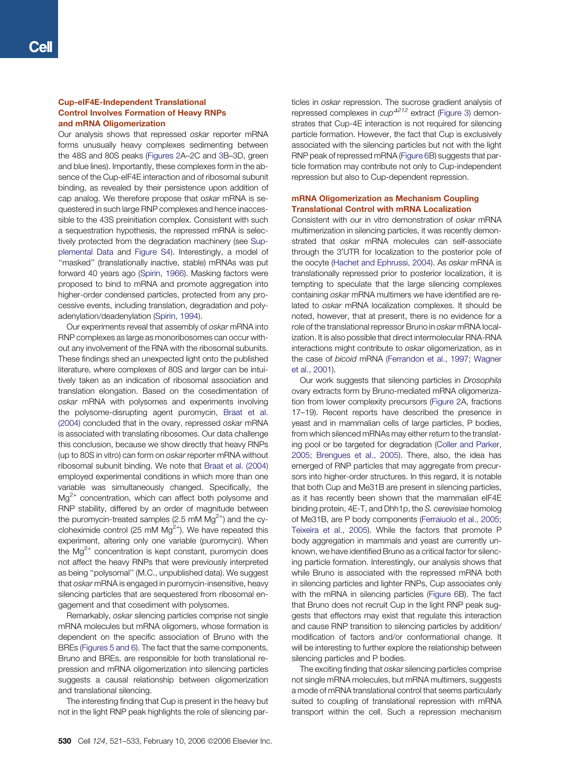# Cup-eIF4E-Independent Translational Control Involves Formation of Heavy RNPs and mRNA Oligomerization

Our analysis shows that repressed oskar reporter mRNA forms unusually heavy complexes sedimenting between the 48S and 80S peaks [\(Figures 2](#page-3-0)A–2C and [3B](#page-4-0)–3D, green and blue lines). Importantly, these complexes form in the absence of the Cup-eIF4E interaction and of ribosomal subunit binding, as revealed by their persistence upon addition of cap analog. We therefore propose that oskar mRNA is sequestered in such large RNP complexes and hence inaccessible to the 43S preinitiation complex. Consistent with such a sequestration hypothesis, the repressed mRNA is selectively protected from the degradation machinery (see [Sup](#page-11-0)[plemental Data](#page-11-0) and [Figure S4\)](#page-11-0). Interestingly, a model of ''masked'' (translationally inactive, stable) mRNAs was put forward 40 years ago ([Spirin, 1966](#page-12-0)). Masking factors were proposed to bind to mRNA and promote aggregation into higher-order condensed particles, protected from any processive events, including translation, degradation and polyadenylation/deadenylation [\(Spirin, 1994](#page-12-0)).

Our experiments reveal that assembly of oskar mRNA into RNP complexes as large as monoribosomes can occur without any involvement of the RNA with the ribosomal subunits. These findings shed an unexpected light onto the published literature, where complexes of 80S and larger can be intuitively taken as an indication of ribosomal association and translation elongation. Based on the cosedimentation of oskar mRNA with polysomes and experiments involving the polysome-disrupting agent puromycin, [Braat et al.](#page-11-0) [\(2004\)](#page-11-0) concluded that in the ovary, repressed oskar mRNA is associated with translating ribosomes. Our data challenge this conclusion, because we show directly that heavy RNPs (up to 80S in vitro) can form on oskar reporter mRNA without ribosomal subunit binding. We note that [Braat et al. \(2004\)](#page-11-0) employed experimental conditions in which more than one variable was simultaneously changed. Specifically, the Mg<sup>2+</sup> concentration, which can affect both polysome and RNP stability, differed by an order of magnitude between the puromycin-treated samples (2.5 mM  $Mg^{2+}$ ) and the cycloheximide control (25 mM  $Mg^{2+}$ ). We have repeated this experiment, altering only one variable (puromycin). When the  $Mg^{2+}$  concentration is kept constant, puromycin does not affect the heavy RNPs that were previously interpreted as being ''polysomal'' (M.C., unpublished data). We suggest that oskar mRNA is engaged in puromycin-insensitive, heavy silencing particles that are sequestered from ribosomal engagement and that cosediment with polysomes.

Remarkably, oskar silencing particles comprise not single mRNA molecules but mRNA oligomers, whose formation is dependent on the specific association of Bruno with the BREs ([Figures 5 and 6](#page-6-0)). The fact that the same components, Bruno and BREs, are responsible for both translational repression and mRNA oligomerization into silencing particles suggests a causal relationship between oligomerization and translational silencing.

The interesting finding that Cup is present in the heavy but not in the light RNP peak highlights the role of silencing particles in oskar repression. The sucrose gradient analysis of repressed complexes in  $cup^{2212}$  extract ([Figure 3\)](#page-4-0) demonstrates that Cup-4E interaction is not required for silencing particle formation. However, the fact that Cup is exclusively associated with the silencing particles but not with the light RNP peak of repressed mRNA ([Figure 6B](#page-8-0)) suggests that particle formation may contribute not only to Cup-independent repression but also to Cup-dependent repression.

# mRNA Oligomerization as Mechanism Coupling Translational Control with mRNA Localization

Consistent with our in vitro demonstration of oskar mRNA multimerization in silencing particles, it was recently demonstrated that oskar mRNA molecules can self-associate through the 3'UTR for localization to the posterior pole of the oocyte ([Hachet and Ephrussi, 2004](#page-11-0)). As oskar mRNA is translationally repressed prior to posterior localization, it is tempting to speculate that the large silencing complexes containing oskar mRNA multimers we have identified are related to oskar mRNA localization complexes. It should be noted, however, that at present, there is no evidence for a role of the translational repressor Bruno in oskar mRNA localization. It is also possible that direct intermolecular RNA-RNA interactions might contribute to oskar oligomerization, as in the case of bicoid mRNA ([Ferrandon et al., 1997; Wagner](#page-11-0) [et al., 2001\)](#page-11-0).

Our work suggests that silencing particles in Drosophila ovary extracts form by Bruno-mediated mRNA oligomerization from lower complexity precursors [\(Figure 2A](#page-3-0), fractions 17–19). Recent reports have described the presence in yeast and in mammalian cells of large particles, P bodies, from which silenced mRNAs may either return to the translating pool or be targeted for degradation ([Coller and Parker,](#page-11-0) [2005; Brengues et al., 2005](#page-11-0)). There, also, the idea has emerged of RNP particles that may aggregate from precursors into higher-order structures. In this regard, it is notable that both Cup and Me31B are present in silencing particles, as it has recently been shown that the mammalian eIF4E binding protein, 4E-T, and Dhh1p, the S. cerevisiae homolog of Me31B, are P body components [\(Ferraiuolo et al., 2005;](#page-11-0) [Teixeira et al., 2005](#page-11-0)). While the factors that promote P body aggregation in mammals and yeast are currently unknown, we have identified Bruno as a critical factor for silencing particle formation. Interestingly, our analysis shows that while Bruno is associated with the repressed mRNA both in silencing particles and lighter RNPs, Cup associates only with the mRNA in silencing particles ([Figure 6](#page-8-0)B). The fact that Bruno does not recruit Cup in the light RNP peak suggests that effectors may exist that regulate this interaction and cause RNP transition to silencing particles by addition/ modification of factors and/or conformational change. It will be interesting to further explore the relationship between silencing particles and P bodies.

The exciting finding that oskar silencing particles comprise not single mRNA molecules, but mRNA multimers, suggests a mode of mRNA translational control that seems particularly suited to coupling of translational repression with mRNA transport within the cell. Such a repression mechanism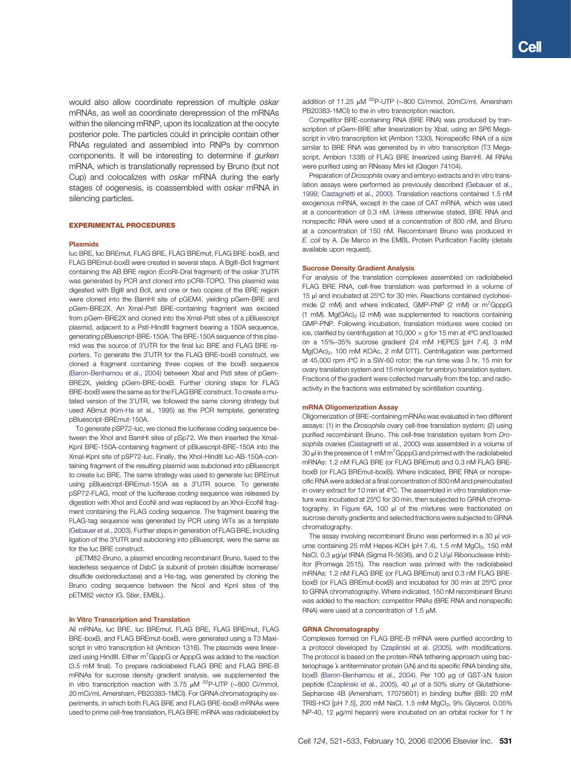would also allow coordinate repression of multiple oskar mRNAs, as well as coordinate derepression of the mRNAs within the silencing mRNP, upon its localization at the oocyte posterior pole. The particles could in principle contain other RNAs regulated and assembled into RNPs by common components. It will be interesting to determine if gurken mRNA, which is translationally repressed by Bruno (but not Cup) and colocalizes with oskar mRNA during the early stages of oogenesis, is coassembled with oskar mRNA in silencing particles.

#### EXPERIMENTAL PROCEDURES

#### Plasmids

luc BRE, luc BREmut, FLAG BRE, FLAG BREmut, FLAG BRE-boxB, and FLAG BREmut-boxB were created in several steps. A BglII-BclI fragment containing the AB BRE region (EcoRI-Dral fragment) of the oskar 3'UTR was generated by PCR and cloned into pCRII-TOPO. This plasmid was digested with BglII and BclI, and one or two copies of the BRE region were cloned into the BamHI site of pGEM4, yielding pGem-BRE and pGem-BRE2X. An XmaI-PstI BRE-containing fragment was excised from pGem-BRE2X and cloned into the XmaI-PstI sites of a pBluescript plasmid, adjacent to a PstI-HindIII fragment bearing a 150A sequence, generating pBluescript-BRE-150A. The BRE-150A sequence of this plasmid was the source of 3'UTR for the final luc BRE and FLAG BRE reporters. To generate the 3'UTR for the FLAG BRE-boxB construct, we cloned a fragment containing three copies of the boxB sequence [\(Baron-Benhamou et al., 2004\)](#page-11-0) between XbaI and PstI sites of pGem-BRE2X, yielding pGem-BRE-boxB. Further cloning steps for FLAG BRE-boxB were the same as for the FLAG BRE construct. To create a mutated version of the 3'UTR, we followed the same cloning strategy but used ABmut ([Kim-Ha et al., 1995](#page-11-0)) as the PCR template, generating pBluescript-BREmut-150A.

To generate pSP72-luc, we cloned the luciferase coding sequence between the XhoI and BamHI sites of pSp72. We then inserted the Xmal-KpnI BRE-150A-containing fragment of pBluescript-BRE-150A into the XmaI-KpnI site of pSP72-luc. Finally, the XhoI-HindIII luc-AB-150A-containing fragment of the resulting plasmid was subcloned into pBluescript to create luc BRE. The same strategy was used to generate luc BREmut using pBluescript-BREmut-150A as a 3'UTR source. To generate pSP72-FLAG, most of the luciferase coding sequence was released by digestion with XhoI and EcoNI and was replaced by an XhoI-EcoNI fragment containing the FLAG coding sequence. The fragment bearing the FLAG-tag sequence was generated by PCR using WTs as a template [\(Gebauer et al., 2003](#page-11-0)). Further steps in generation of FLAG BRE, including ligation of the 3'UTR and subcloning into pBluescript, were the same as for the luc BRE construct.

pETM82-Bruno, a plasmid encoding recombinant Bruno, fused to the leaderless sequence of DsbC (a subunit of protein disulfide isomerase/ disulfide oxidoreductase) and a His-tag, was generated by cloning the Bruno coding sequence between the NcoI and KpnI sites of the pETM82 vector (G. Stier, EMBL).

#### In Vitro Transcription and Translation

All mRNAs, luc BRE, luc BREmut, FLAG BRE, FLAG BREmut, FLAG BRE-boxB, and FLAG BREmut-boxB, were generated using a T3 Maxiscript in vitro transcription kit (Ambion 1316). The plasmids were linearized using HindIII. Either m<sup>7</sup>GpppG or ApppG was added to the reaction (3.5 mM final). To prepare radiolabeled FLAG BRE and FLAG BRE-B mRNAs for sucrose density gradient analysis, we supplemented the in vitro transcription reaction with 3.75  $\mu$ M  $^{32}$ P-UTP (~800 Ci/mmol, 20 mCi/ml, Amersham, PB20383-1MCI). For GRNA chromatography experiments, in which both FLAG BRE and FLAG BRE-boxB mRNAs were used to prime cell-free translation, FLAG BRE mRNA was radiolabeled by

addition of 11.25  $\mu$ M <sup>32</sup>P-UTP (~800 Ci/mmol, 20mCi/ml, Amersham PB20383-1MCI) to the in vitro transcription reaction.

Competitor BRE-containing RNA (BRE RNA) was produced by transcription of pGem-BRE after linearization by XbaI, using an SP6 Megascript in vitro transcription kit (Ambion 1330). Nonspecific RNA of a size similar to BRE RNA was generated by in vitro transcription (T3 Megascript, Ambion 1338) of FLAG BRE linearized using BamHI. All RNAs were purified using an RNeasy Mini kit (Qiagen 74104).

Preparation of Drosophila ovary and embryo extracts and in vitro translation assays were performed as previously described [\(Gebauer et al.,](#page-11-0) [1999; Castagnetti et al., 2000\)](#page-11-0). Translation reactions contained 1.5 nM exogenous mRNA, except in the case of CAT mRNA, which was used at a concentration of 0.3 nM. Unless otherwise stated, BRE RNA and nonspecific RNA were used at a concentration of 800 nM, and Bruno at a concentration of 150 nM. Recombinant Bruno was produced in E. coli by A. De Marco in the EMBL Protein Purification Facility (details available upon request).

#### Sucrose Density Gradient Analysis

For analysis of the translation complexes assembled on radiolabeled FLAG BRE RNA, cell-free translation was performed in a volume of 15 µl and incubated at 25°C for 30 min. Reactions contained cycloheximide (2 mM) and where indicated, GMP-PNP (2 mM) or m<sup>7</sup>GpppG (1 mM).  $Mg(OAc)_2$  (2 mM) was supplemented to reactions containing GMP-PNP. Following incubation, translation mixtures were cooled on ice, clarified by centrifugation at 10,000  $\times$  g for 15 min at 4°C and loaded on a 15%–35% sucrose gradient (24 mM HEPES [pH 7.4], 3 mM Mg(OAc)<sub>2</sub>, 100 mM KOAc, 2 mM DTT). Centrifugation was performed at 45,000 rpm 4ºC in a SW-60 rotor; the run time was 3 hr, 15 min for ovary translation system and 15 min longer for embryo translation system. Fractions of the gradient were collected manually from the top, and radioactivity in the fractions was estimated by scintillation counting.

#### mRNA Oligomerization Assay

Oligomerization of BRE-containing mRNAs was evaluated in two different assays: (1) in the Drosophila ovary cell-free translation system; (2) using purified recombinant Bruno. The cell-free translation system from Drosophila ovaries [\(Castagnetti et al., 2000](#page-11-0)) was assembled in a volume of 30  $\mu$ l in the presence of 1 mM m $^7$ GpppG and primed with the radiolabeled mRNAs: 1.2 nM FLAG BRE (or FLAG BREmut) and 0.3 nM FLAG BREboxB (or FLAG BREmut-boxB). Where indicated, BRE RNA or nonspecific RNA were added at a final concentration of 800 nM and preincubated in ovary extract for 10 min at 4ºC. The assembled in vitro translation mixture was incubated at 25ºC for 30 min, then subjected to GRNA chroma-tography. In [Figure 6](#page-8-0)A, 100 µl of the mixtures were fractionated on sucrose density gradients and selected fractions were subjected to GRNA chromatography.

The assay involving recombinant Bruno was performed in a 30 µl volume containing 25 mM Hepes-KOH (pH 7.4), 1.5 mM MgCl<sub>2</sub>, 150 mM NaCl, 0.3 µg/µl tRNA (Sigma R-5636), and 0.2 U/µl Ribonuclease Inhibitor (Promega 2515). The reaction was primed with the radiolabeled mRNAs: 1.2 nM FLAG BRE (or FLAG BREmut) and 0.3 nM FLAG BREboxB (or FLAG BREmut-boxB) and incubated for 30 min at 25ºC prior to GRNA chromatography. Where indicated, 150 nM recombinant Bruno was added to the reaction; competitor RNAs (BRE RNA and nonspecific RNA) were used at a concentration of 1.5  $\mu$ M.

#### GRNA Chromatography

Complexes formed on FLAG BRE-B mRNA were purified according to a protocol developed by [Czaplinski et al. \(2005\)](#page-11-0), with modifications. The protocol is based on the protein-RNA tethering approach using bacteriophage  $\lambda$  antiterminator protein ( $\lambda$ N) and its specific RNA binding site, boxB ([Baron-Benhamou et al., 2004](#page-11-0)). Per 100 µg of GST- $\lambda$ N fusion peptide ([Czaplinski et al., 2005](#page-11-0)), 40 µl of a 50% slurry of Glutathione-Sepharose 4B (Amersham, 17075601) in binding buffer (BB: 20 mM TRIS-HCl [pH 7.5], 200 mM NaCl, 1.5 mM MgCl<sub>2</sub>, 9% Glycerol, 0.05% NP-40, 12 µg/ml heparin) were incubated on an orbital rocker for 1 hr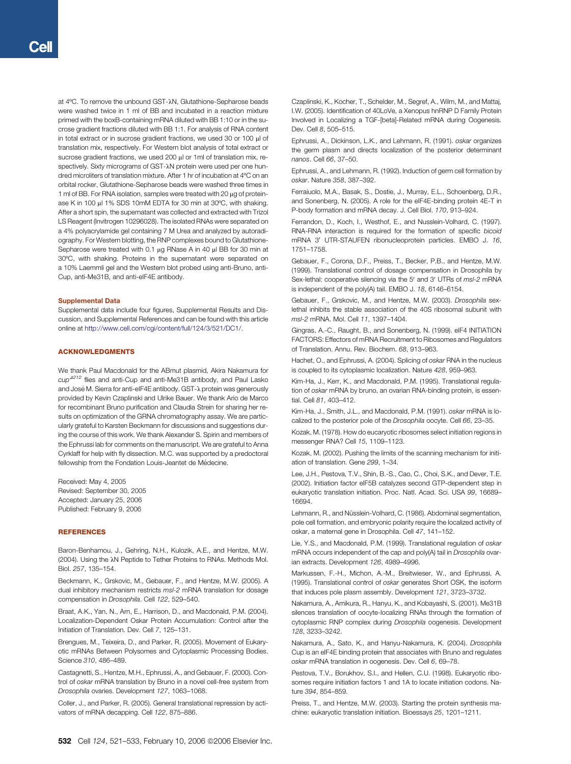<span id="page-11-0"></span>at 4°C. To remove the unbound GST-XN, Glutathione-Sepharose beads were washed twice in 1 ml of BB and incubated in a reaction mixture primed with the boxB-containing mRNA diluted with BB 1:10 or in the sucrose gradient fractions diluted with BB 1:1. For analysis of RNA content in total extract or in sucrose gradient fractions, we used 30 or 100 µl of translation mix, respectively. For Western blot analysis of total extract or sucrose gradient fractions, we used 200 µl or 1ml of translation mix, respectively. Sixty micrograms of GST- $\lambda$ N protein were used per one hundred microliters of translation mixture. After 1 hr of incubation at 4ºC on an orbital rocker, Glutathione-Sepharose beads were washed three times in 1 ml of BB. For RNA isolation, samples were treated with 20  $\mu$ q of proteinase K in 100 µl 1% SDS 10mM EDTA for 30 min at 30°C, with shaking. After a short spin, the supernatant was collected and extracted with Trizol LS Reagent (Invitrogen 10296028). The isolated RNAs were separated on a 4% polyacrylamide gel containing 7 M Urea and analyzed by autoradiography. For Western blotting, the RNP complexes bound to Glutathione-Sepharose were treated with 0.1  $\mu$ g RNase A in 40  $\mu$ l BB for 30 min at 30ºC, with shaking. Proteins in the supernatant were separated on a 10% Laemmli gel and the Western blot probed using anti-Bruno, anti-Cup, anti-Me31B, and anti-eIF4E antibody.

#### Supplemental Data

Supplemental data include four figures, Supplemental Results and Discussion, and Supplemental References and can be found with this article online at <http://www.cell.com/cgi/content/full/124/3/521/DC1/>.

#### ACKNOWLEDGMENTS

We thank Paul Macdonald for the ABmut plasmid, Akira Nakamura for  $cup^{4212}$  flies and anti-Cup and anti-Me31B antibody, and Paul Lasko and José M. Sierra for anti-eIF4E antibody. GST- $\lambda$  protein was generously provided by Kevin Czaplinski and Ulrike Bauer. We thank Ario de Marco for recombinant Bruno purification and Claudia Strein for sharing her results on optimization of the GRNA chromatography assay. We are particularly grateful to Karsten Beckmann for discussions and suggestions during the course of this work. We thank Alexander S. Spirin and members of the Ephrussi lab for comments on the manuscript. We are grateful to Anna Cyrklaff for help with fly dissection. M.C. was supported by a predoctoral fellowship from the Fondation Louis-Jeantet de Médecine.

Received: May 4, 2005 Revised: September 30, 2005 Accepted: January 25, 2006 Published: February 9, 2006

#### **REFERENCES**

Baron-Benhamou, J., Gehring, N.H., Kulozik, A.E., and Hentze, M.W. (2004). Using the  $\lambda$ N Peptide to Tether Proteins to RNAs. Methods Mol. Biol. 257, 135–154.

Beckmann, K., Grskovic, M., Gebauer, F., and Hentze, M.W. (2005). A dual inhibitory mechanism restricts msI-2 mRNA translation for dosage compensation in Drosophila. Cell 122, 529–540.

Braat, A.K., Yan, N., Arn, E., Harrison, D., and Macdonald, P.M. (2004). Localization-Dependent Oskar Protein Accumulation: Control after the Initiation of Translation. Dev. Cell 7, 125-131.

Brengues, M., Teixeira, D., and Parker, R. (2005). Movement of Eukaryotic mRNAs Between Polysomes and Cytoplasmic Processing Bodies. Science 310, 486–489.

Castagnetti, S., Hentze, M.H., Ephrussi, A., and Gebauer, F. (2000). Control of oskar mRNA translation by Bruno in a novel cell-free system from Drosophila ovaries. Development 127, 1063–1068.

Coller, J., and Parker, R. (2005). General translational repression by activators of mRNA decapping. Cell 122, 875–886.

Czaplinski, K., Kocher, T., Schelder, M., Segref, A., Wilm, M., and Mattaj, I.W. (2005). Identification of 40LoVe, a Xenopus hnRNP D Family Protein Involved in Localizing a TGF-[beta]-Related mRNA during Oogenesis. Dev. Cell 8, 505–515.

Ephrussi, A., Dickinson, L.K., and Lehmann, R. (1991). oskar organizes the germ plasm and directs localization of the posterior determinant nanos. Cell 66, 37–50.

Ephrussi, A., and Lehmann, R. (1992). Induction of germ cell formation by oskar. Nature 358, 387–392.

Ferraiuolo, M.A., Basak, S., Dostie, J., Murray, E.L., Schoenberg, D.R., and Sonenberg, N. (2005). A role for the eIF4E-binding protein 4E-T in P-body formation and mRNA decay. J. Cell Biol. 170, 913–924.

Ferrandon, D., Koch, I., Westhof, E., and Nusslein-Volhard, C. (1997). RNA-RNA interaction is required for the formation of specific bicoid mRNA 3' UTR-STAUFEN ribonucleoprotein particles. EMBO J. 16, 1751–1758.

Gebauer, F., Corona, D.F., Preiss, T., Becker, P.B., and Hentze, M.W. (1999). Translational control of dosage compensation in Drosophila by Sex-lethal: cooperative silencing via the 5' and 3' UTRs of msl-2 mRNA is independent of the poly(A) tail. EMBO J. 18, 6146–6154.

Gebauer, F., Grskovic, M., and Hentze, M.W. (2003). Drosophila sexlethal inhibits the stable association of the 40S ribosomal subunit with msl-2 mRNA. Mol. Cell 11, 1397–1404.

Gingras, A.-C., Raught, B., and Sonenberg, N. (1999). eIF4 INITIATION FACTORS: Effectors of mRNA Recruitment to Ribosomes and Regulators of Translation. Annu. Rev. Biochem. 68, 913–963.

Hachet, O., and Ephrussi, A. (2004). Splicing of oskar RNA in the nucleus is coupled to its cytoplasmic localization. Nature 428, 959–963.

Kim-Ha, J., Kerr, K., and Macdonald, P.M. (1995). Translational regulation of oskar mRNA by bruno, an ovarian RNA-binding protein, is essential. Cell 81, 403–412.

Kim-Ha, J., Smith, J.L., and Macdonald, P.M. (1991). oskar mRNA is localized to the posterior pole of the Drosophila oocyte. Cell 66, 23–35.

Kozak, M. (1978). How do eucaryotic ribosomes select initiation regions in messenger RNA? Cell 15, 1109–1123.

Kozak, M. (2002). Pushing the limits of the scanning mechanism for initiation of translation. Gene 299, 1–34.

Lee, J.H., Pestova, T.V., Shin, B.-S., Cao, C., Choi, S.K., and Dever, T.E. (2002). Initiation factor eIF5B catalyzes second GTP-dependent step in eukaryotic translation initiation. Proc. Natl. Acad. Sci. USA 99, 16689– 16694.

Lehmann, R., and Nüsslein-Volhard, C. (1986). Abdominal segmentation, pole cell formation, and embryonic polarity require the localized activity of oskar, a maternal gene in Drosophila. Cell 47, 141–152.

Lie, Y.S., and Macdonald, P.M. (1999). Translational regulation of oskar mRNA occurs independent of the cap and poly(A) tail in Drosophila ovarian extracts. Development 126, 4989–4996.

Markussen, F.-H., Michon, A.-M., Breitwieser, W., and Ephrussi, A. (1995). Translational control of oskar generates Short OSK, the isoform that induces pole plasm assembly. Development 121, 3723–3732.

Nakamura, A., Amikura, R., Hanyu, K., and Kobayashi, S. (2001). Me31B silences translation of oocyte-localizing RNAs through the formation of cytoplasmic RNP complex during Drosophila oogenesis. Development 128, 3233–3242.

Nakamura, A., Sato, K., and Hanyu-Nakamura, K. (2004). Drosophila Cup is an eIF4E binding protein that associates with Bruno and regulates oskar mRNA translation in oogenesis. Dev. Cell 6, 69–78.

Pestova, T.V., Borukhov, S.I., and Hellen, C.U. (1998). Eukaryotic ribosomes require initiation factors 1 and 1A to locate initiation codons. Nature 394, 854–859.

Preiss, T., and Hentze, M.W. (2003). Starting the protein synthesis machine: eukaryotic translation initiation. Bioessays 25, 1201–1211.